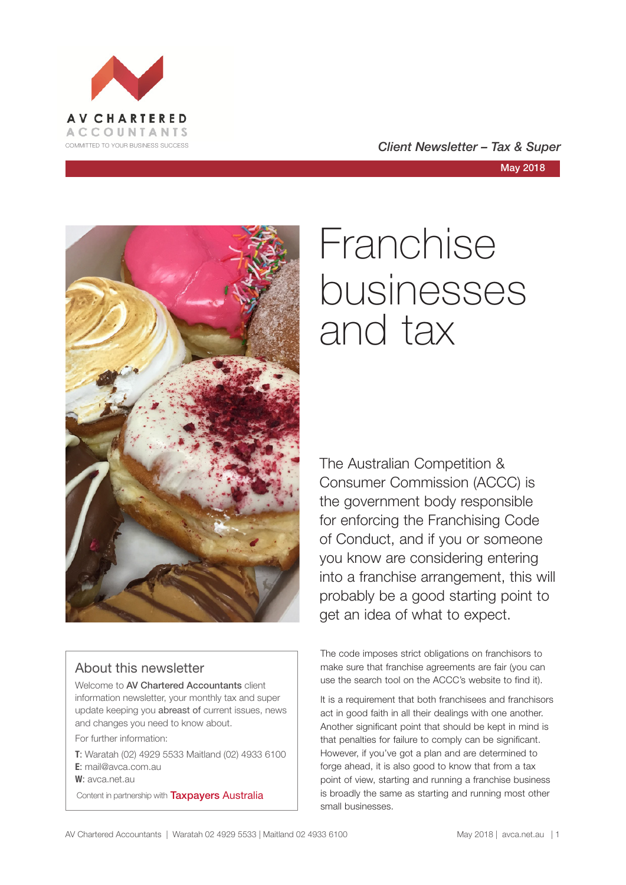





### About this newsletter

Welcome to AV Chartered Accountants client information newsletter, your monthly tax and super update keeping you abreast of current issues, news and changes you need to know about.

For further information:

**T**: Waratah (02) 4929 5533 Maitland (02) 4933 6100 **E**: mail@avca.com.au

**W**: avca.net.au

Content in partnership with **Taxpayers Australia** 

# Franchise businesses and tax

The Australian Competition & Consumer Commission (ACCC) is the government body responsible for enforcing the Franchising Code of Conduct, and if you or someone you know are considering entering into a franchise arrangement, this will probably be a good starting point to get an idea of what to expect.

The code imposes strict obligations on franchisors to make sure that franchise agreements are fair (you can use the search tool on the ACCC's website to find it).

It is a requirement that both franchisees and franchisors act in good faith in all their dealings with one another. Another significant point that should be kept in mind is that penalties for failure to comply can be significant. However, if you've got a plan and are determined to forge ahead, it is also good to know that from a tax point of view, starting and running a franchise business is broadly the same as starting and running most other small businesses.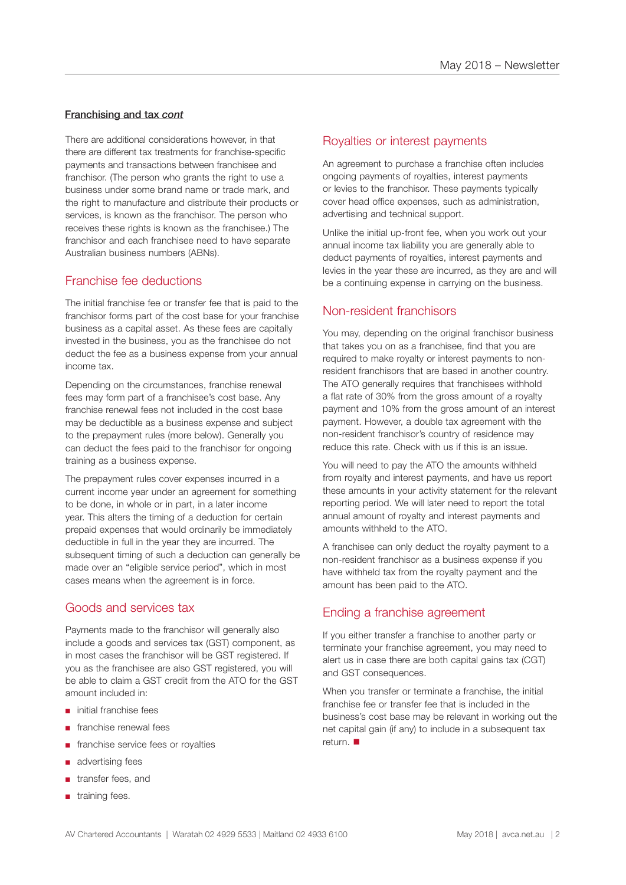### Franchising and tax *cont*

There are additional considerations however, in that there are different tax treatments for franchise-specific payments and transactions between franchisee and franchisor. (The person who grants the right to use a business under some brand name or trade mark, and the right to manufacture and distribute their products or services, is known as the franchisor. The person who receives these rights is known as the franchisee.) The franchisor and each franchisee need to have separate Australian business numbers (ABNs).

### Franchise fee deductions

The initial franchise fee or transfer fee that is paid to the franchisor forms part of the cost base for your franchise business as a capital asset. As these fees are capitally invested in the business, you as the franchisee do not deduct the fee as a business expense from your annual income tax.

Depending on the circumstances, franchise renewal fees may form part of a franchisee's cost base. Any franchise renewal fees not included in the cost base may be deductible as a business expense and subject to the prepayment rules (more below). Generally you can deduct the fees paid to the franchisor for ongoing training as a business expense.

The prepayment rules cover expenses incurred in a current income year under an agreement for something to be done, in whole or in part, in a later income year. This alters the timing of a deduction for certain prepaid expenses that would ordinarily be immediately deductible in full in the year they are incurred. The subsequent timing of such a deduction can generally be made over an "eligible service period", which in most cases means when the agreement is in force.

### Goods and services tax

Payments made to the franchisor will generally also include a goods and services tax (GST) component, as in most cases the franchisor will be GST registered. If you as the franchisee are also GST registered, you will be able to claim a GST credit from the ATO for the GST amount included in:

- initial franchise fees
- franchise renewal fees
- franchise service fees or royalties
- advertising fees
- transfer fees, and
- training fees.

### Royalties or interest payments

An agreement to purchase a franchise often includes ongoing payments of royalties, interest payments or levies to the franchisor. These payments typically cover head office expenses, such as administration, advertising and technical support.

Unlike the initial up-front fee, when you work out your annual income tax liability you are generally able to deduct payments of royalties, interest payments and levies in the year these are incurred, as they are and will be a continuing expense in carrying on the business.

### Non-resident franchisors

You may, depending on the original franchisor business that takes you on as a franchisee, find that you are required to make royalty or interest payments to nonresident franchisors that are based in another country. The ATO generally requires that franchisees withhold a flat rate of 30% from the gross amount of a royalty payment and 10% from the gross amount of an interest payment. However, a double tax agreement with the non-resident franchisor's country of residence may reduce this rate. Check with us if this is an issue.

You will need to pay the ATO the amounts withheld from royalty and interest payments, and have us report these amounts in your activity statement for the relevant reporting period. We will later need to report the total annual amount of royalty and interest payments and amounts withheld to the ATO.

A franchisee can only deduct the royalty payment to a non-resident franchisor as a business expense if you have withheld tax from the royalty payment and the amount has been paid to the ATO.

### Ending a franchise agreement

If you either transfer a franchise to another party or terminate your franchise agreement, you may need to alert us in case there are both capital gains tax (CGT) and GST consequences.

When you transfer or terminate a franchise, the initial franchise fee or transfer fee that is included in the business's cost base may be relevant in working out the net capital gain (if any) to include in a subsequent tax return.  $\blacksquare$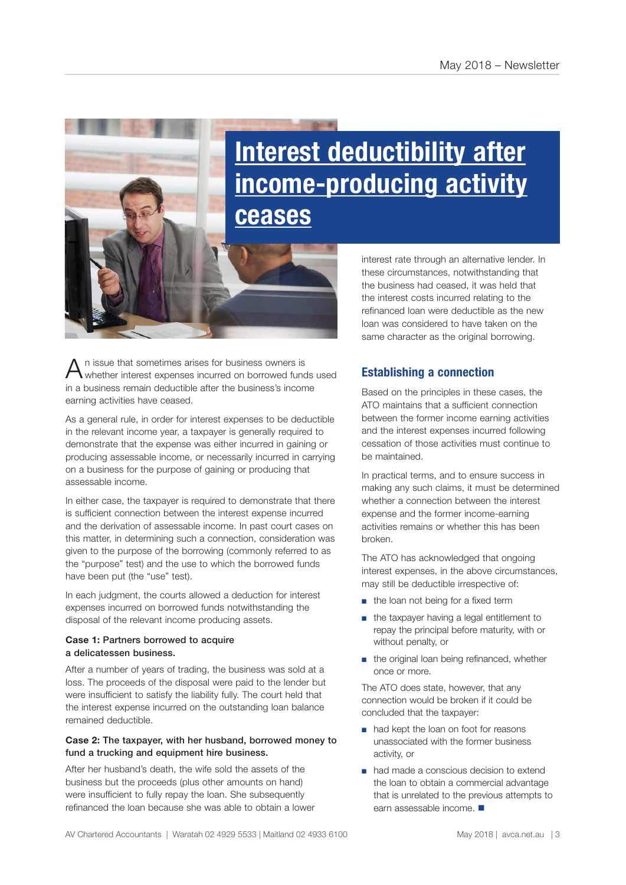# **Interest deductibility after income-producing activity ceases**

 $A$ <sup>n</sup> issue that sometimes arises for business owners is whether interest expenses incurred on borrowed funds used in a business remain deductible after the business's income earning activities have ceased.

As a general rule, in order for interest expenses to be deductible in the relevant income year, a taxpayer is generally required to demonstrate that the expense was either incurred in gaining or producing assessable income, or necessarily incurred in carrying on a business for the purpose of gaining or producing that assessable income.

In either case, the taxpayer is required to demonstrate that there is sufficient connection between the interest expense incurred and the derivation of assessable income. In past court cases on this matter, in determining such a connection, consideration was given to the purpose of the borrowing (commonly referred to as the "purpose" test) and the use to which the borrowed funds have been put (the "use" test).

In each judgment, the courts allowed a deduction for interest expenses incurred on borrowed funds notwithstanding the disposal of the relevant income producing assets.

### **Case 1:** Partners borrowed to acquire a delicatessen business.

After a number of years of trading, the business was sold at a loss. The proceeds of the disposal were paid to the lender but were insufficient to satisfy the liability fully. The court held that the interest expense incurred on the outstanding loan balance remained deductible.

### **Case 2:** The taxpayer, with her husband, borrowed money to fund a trucking and equipment hire business.

After her husband's death, the wife sold the assets of the business but the proceeds (plus other amounts on hand) were insufficient to fully repay the loan. She subsequently refinanced the loan because she was able to obtain a lower interest rate through an alternative lender. In these circumstances, notwithstanding that the business had ceased, it was held that the interest costs incurred relating to the refinanced loan were deductible as the new loan was considered to have taken on the same character as the original borrowing.

### **Establishing a connection**

Based on the principles in these cases, the ATO maintains that a sufficient connection between the former income earning activities and the interest expenses incurred following cessation of those activities must continue to be maintained.

In practical terms, and to ensure success in making any such claims, it must be determined whether a connection between the interest expense and the former income-earning activities remains or whether this has been broken.

The ATO has acknowledged that ongoing interest expenses, in the above circumstances, may still be deductible irrespective of:

- the loan not being for a fixed term
- the taxpayer having a legal entitlement to repay the principal before maturity, with or without penalty, or
- the original loan being refinanced, whether once or more.

The ATO does state, however, that any connection would be broken if it could be concluded that the taxpayer:

- had kept the loan on foot for reasons unassociated with the former business activity, or
- had made a conscious decision to extend the loan to obtain a commercial advantage that is unrelated to the previous attempts to earn assessable income.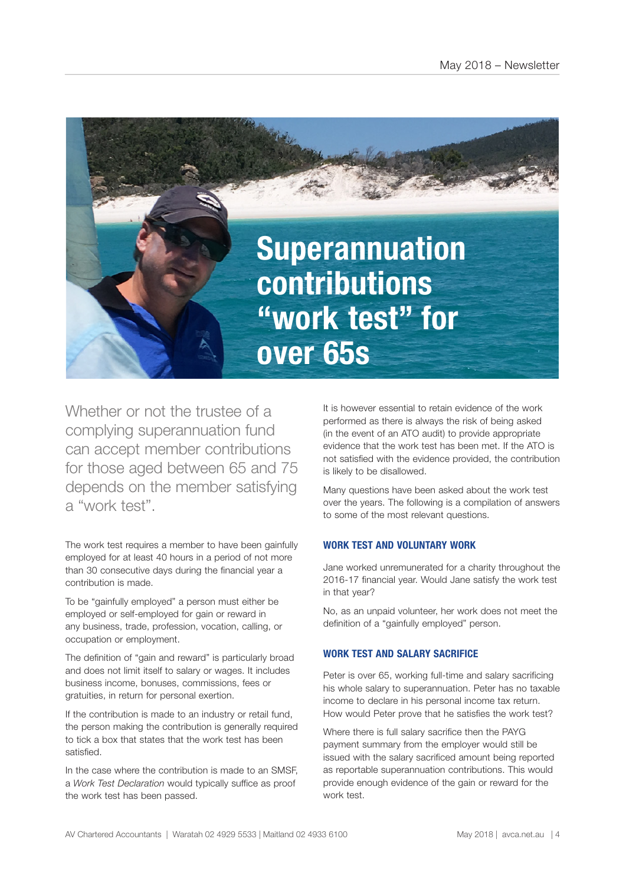

Whether or not the trustee of a complying superannuation fund can accept member contributions for those aged between 65 and 75 depends on the member satisfying a "work test".

The work test requires a member to have been gainfully employed for at least 40 hours in a period of not more than 30 consecutive days during the financial year a contribution is made.

To be "gainfully employed" a person must either be employed or self-employed for gain or reward in any business, trade, profession, vocation, calling, or occupation or employment.

The definition of "gain and reward" is particularly broad and does not limit itself to salary or wages. It includes business income, bonuses, commissions, fees or gratuities, in return for personal exertion.

If the contribution is made to an industry or retail fund, the person making the contribution is generally required to tick a box that states that the work test has been satisfied.

In the case where the contribution is made to an SMSF, a *Work Test Declaration* would typically suffice as proof the work test has been passed.

It is however essential to retain evidence of the work performed as there is always the risk of being asked (in the event of an ATO audit) to provide appropriate evidence that the work test has been met. If the ATO is not satisfied with the evidence provided, the contribution is likely to be disallowed.

Many questions have been asked about the work test over the years. The following is a compilation of answers to some of the most relevant questions.

### **WORK TEST AND VOLUNTARY WORK**

Jane worked unremunerated for a charity throughout the 2016-17 financial year. Would Jane satisfy the work test in that year?

No, as an unpaid volunteer, her work does not meet the definition of a "gainfully employed" person.

### **WORK TEST AND SALARY SACRIFICE**

Peter is over 65, working full-time and salary sacrificing his whole salary to superannuation. Peter has no taxable income to declare in his personal income tax return. How would Peter prove that he satisfies the work test?

Where there is full salary sacrifice then the PAYG payment summary from the employer would still be issued with the salary sacrificed amount being reported as reportable superannuation contributions. This would provide enough evidence of the gain or reward for the work test.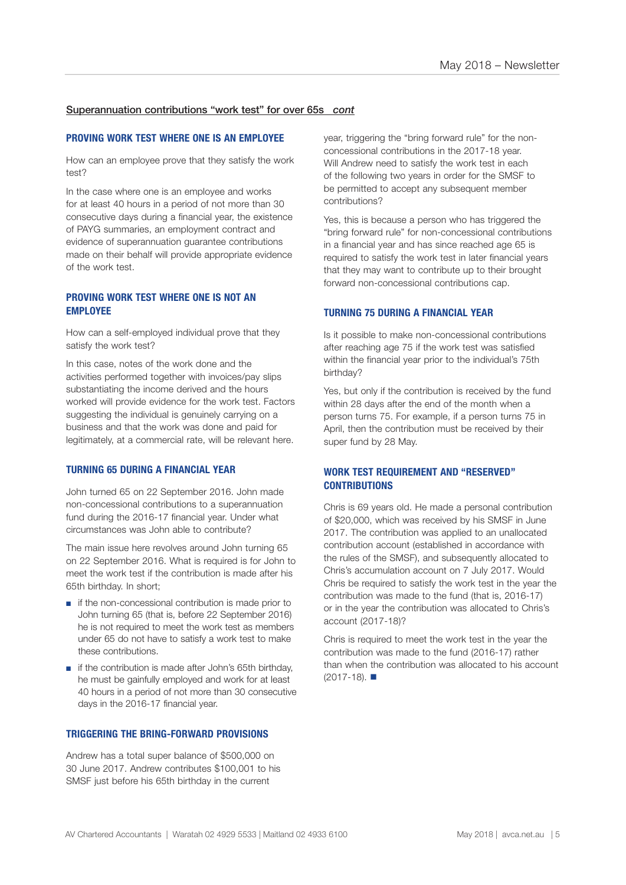### Superannuation contributions "work test" for over 65s *cont*

### **PROVING WORK TEST WHERE ONE IS AN EMPLOYEE**

How can an employee prove that they satisfy the work test?

In the case where one is an employee and works for at least 40 hours in a period of not more than 30 consecutive days during a financial year, the existence of PAYG summaries, an employment contract and evidence of superannuation guarantee contributions made on their behalf will provide appropriate evidence of the work test.

### **PROVING WORK TEST WHERE ONE IS NOT AN EMPLOYEE**

How can a self-employed individual prove that they satisfy the work test?

In this case, notes of the work done and the activities performed together with invoices/pay slips substantiating the income derived and the hours worked will provide evidence for the work test. Factors suggesting the individual is genuinely carrying on a business and that the work was done and paid for legitimately, at a commercial rate, will be relevant here.

### **TURNING 65 DURING A FINANCIAL YEAR**

John turned 65 on 22 September 2016. John made non-concessional contributions to a superannuation fund during the 2016-17 financial year. Under what circumstances was John able to contribute?

The main issue here revolves around John turning 65 on 22 September 2016. What is required is for John to meet the work test if the contribution is made after his 65th birthday. In short;

- if the non-concessional contribution is made prior to John turning 65 (that is, before 22 September 2016) he is not required to meet the work test as members under 65 do not have to satisfy a work test to make these contributions.
- if the contribution is made after John's 65th birthday. he must be gainfully employed and work for at least 40 hours in a period of not more than 30 consecutive days in the 2016-17 financial year.

### **TRIGGERING THE BRING-FORWARD PROVISIONS**

Andrew has a total super balance of \$500,000 on 30 June 2017. Andrew contributes \$100,001 to his SMSF just before his 65th birthday in the current

year, triggering the "bring forward rule" for the nonconcessional contributions in the 2017-18 year. Will Andrew need to satisfy the work test in each of the following two years in order for the SMSF to be permitted to accept any subsequent member contributions?

Yes, this is because a person who has triggered the "bring forward rule" for non-concessional contributions in a financial year and has since reached age 65 is required to satisfy the work test in later financial years that they may want to contribute up to their brought forward non-concessional contributions cap.

#### **TURNING 75 DURING A FINANCIAL YEAR**

Is it possible to make non-concessional contributions after reaching age 75 if the work test was satisfied within the financial year prior to the individual's 75th birthday?

Yes, but only if the contribution is received by the fund within 28 days after the end of the month when a person turns 75. For example, if a person turns 75 in April, then the contribution must be received by their super fund by 28 May.

### **WORK TEST REQUIREMENT AND "RESERVED" CONTRIBUTIONS**

Chris is 69 years old. He made a personal contribution of \$20,000, which was received by his SMSF in June 2017. The contribution was applied to an unallocated contribution account (established in accordance with the rules of the SMSF), and subsequently allocated to Chris's accumulation account on 7 July 2017. Would Chris be required to satisfy the work test in the year the contribution was made to the fund (that is, 2016-17) or in the year the contribution was allocated to Chris's account (2017-18)?

Chris is required to meet the work test in the year the contribution was made to the fund (2016-17) rather than when the contribution was allocated to his account  $(2017-18)$ .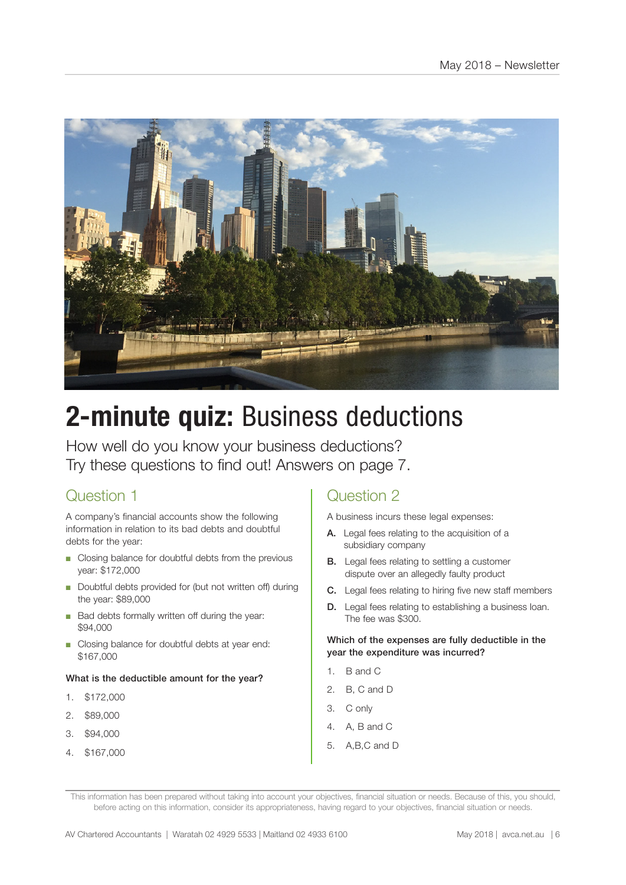

# **2-minute quiz:** Business deductions

How well do you know your business deductions? Try these questions to find out! Answers on page 7.

# Question 1

A company's financial accounts show the following information in relation to its bad debts and doubtful debts for the year:

- Closing balance for doubtful debts from the previous year: \$172,000
- Doubtful debts provided for (but not written off) during the year: \$89,000
- Bad debts formally written off during the year: \$94,000
- Closing balance for doubtful debts at year end: \$167,000

### What is the deductible amount for the year?

- 1. \$172,000
- 2. \$89,000
- 3. \$94,000
- 4. \$167,000

## Question 2

A business incurs these legal expenses:

- A. Legal fees relating to the acquisition of a subsidiary company
- **B.** Legal fees relating to settling a customer dispute over an allegedly faulty product
- C. Legal fees relating to hiring five new staff members
- D. Legal fees relating to establishing a business loan. The fee was \$300.

### Which of the expenses are fully deductible in the year the expenditure was incurred?

- 1. B and C
- 2. B, C and D
- 3. C only
- 4. A, B and C
- 5. A,B,C and D

This information has been prepared without taking into account your objectives, financial situation or needs. Because of this, you should, before acting on this information, consider its appropriateness, having regard to your objectives, financial situation or needs.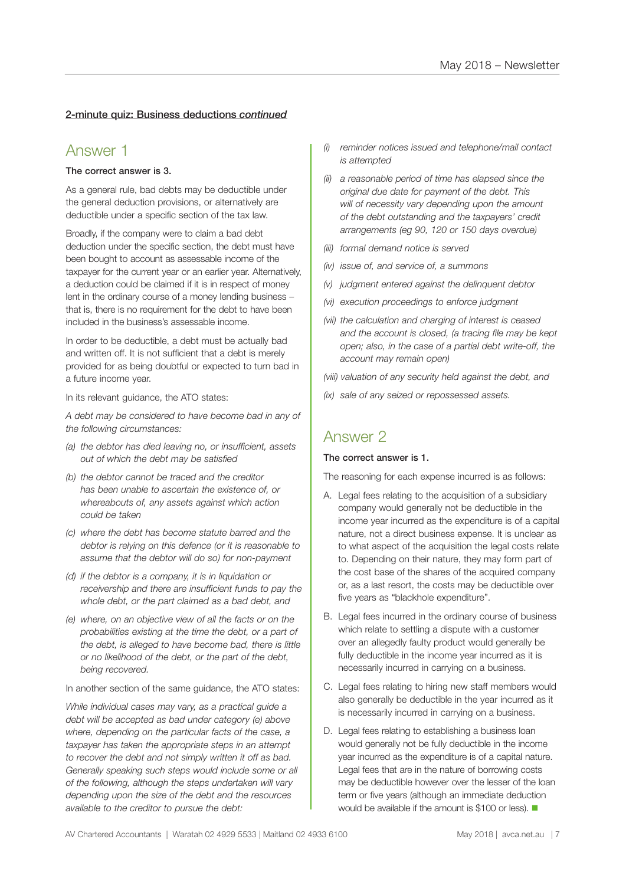### 2-minute quiz: Business deductions *continued*

### Answer 1

### The correct answer is 3.

As a general rule, bad debts may be deductible under the general deduction provisions, or alternatively are deductible under a specific section of the tax law.

Broadly, if the company were to claim a bad debt deduction under the specific section, the debt must have been bought to account as assessable income of the taxpayer for the current year or an earlier year. Alternatively, a deduction could be claimed if it is in respect of money lent in the ordinary course of a money lending business – that is, there is no requirement for the debt to have been included in the business's assessable income.

In order to be deductible, a debt must be actually bad and written off. It is not sufficient that a debt is merely provided for as being doubtful or expected to turn bad in a future income year.

In its relevant guidance, the ATO states:

*A debt may be considered to have become bad in any of the following circumstances:*

- *(a) the debtor has died leaving no, or insufficient, assets out of which the debt may be satisfied*
- *(b) the debtor cannot be traced and the creditor has been unable to ascertain the existence of, or whereabouts of, any assets against which action could be taken*
- *(c) where the debt has become statute barred and the debtor is relying on this defence (or it is reasonable to assume that the debtor will do so) for non-payment*
- *(d) if the debtor is a company, it is in liquidation or receivership and there are insufficient funds to pay the whole debt, or the part claimed as a bad debt, and*
- *(e) where, on an objective view of all the facts or on the probabilities existing at the time the debt, or a part of the debt, is alleged to have become bad, there is little or no likelihood of the debt, or the part of the debt, being recovered.*

In another section of the same guidance, the ATO states:

*While individual cases may vary, as a practical guide a debt will be accepted as bad under category (e) above where, depending on the particular facts of the case, a taxpayer has taken the appropriate steps in an attempt to recover the debt and not simply written it off as bad. Generally speaking such steps would include some or all of the following, although the steps undertaken will vary depending upon the size of the debt and the resources available to the creditor to pursue the debt:*

- *(i) reminder notices issued and telephone/mail contact is attempted*
- *(ii) a reasonable period of time has elapsed since the original due date for payment of the debt. This will of necessity vary depending upon the amount of the debt outstanding and the taxpayers' credit arrangements (eg 90, 120 or 150 days overdue)*
- *(iii) formal demand notice is served*
- *(iv) issue of, and service of, a summons*
- *(v) judgment entered against the delinquent debtor*
- *(vi) execution proceedings to enforce judgment*
- *(vii) the calculation and charging of interest is ceased and the account is closed, (a tracing file may be kept open; also, in the case of a partial debt write-off, the account may remain open)*

*(viii) valuation of any security held against the debt, and*

*(ix) sale of any seized or repossessed assets.*

### Answer 2

### The correct answer is 1.

The reasoning for each expense incurred is as follows:

- A. Legal fees relating to the acquisition of a subsidiary company would generally not be deductible in the income year incurred as the expenditure is of a capital nature, not a direct business expense. It is unclear as to what aspect of the acquisition the legal costs relate to. Depending on their nature, they may form part of the cost base of the shares of the acquired company or, as a last resort, the costs may be deductible over five years as "blackhole expenditure".
- B. Legal fees incurred in the ordinary course of business which relate to settling a dispute with a customer over an allegedly faulty product would generally be fully deductible in the income year incurred as it is necessarily incurred in carrying on a business.
- C. Legal fees relating to hiring new staff members would also generally be deductible in the year incurred as it is necessarily incurred in carrying on a business.
- D. Legal fees relating to establishing a business loan would generally not be fully deductible in the income year incurred as the expenditure is of a capital nature. Legal fees that are in the nature of borrowing costs may be deductible however over the lesser of the loan term or five years (although an immediate deduction would be available if the amount is \$100 or less).  $\blacksquare$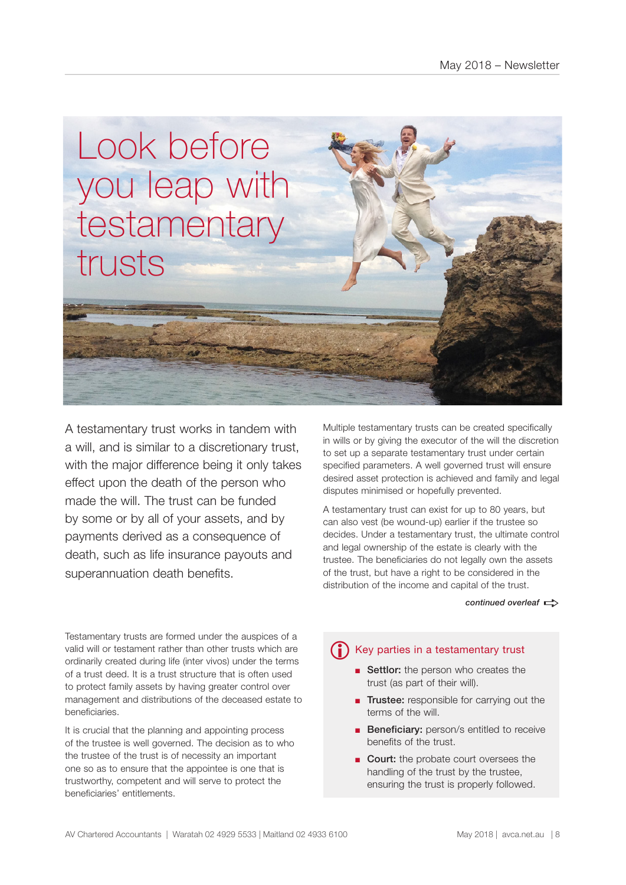

A testamentary trust works in tandem with a will, and is similar to a discretionary trust, with the major difference being it only takes effect upon the death of the person who made the will. The trust can be funded by some or by all of your assets, and by payments derived as a consequence of death, such as life insurance payouts and superannuation death benefits.

Multiple testamentary trusts can be created specifically in wills or by giving the executor of the will the discretion to set up a separate testamentary trust under certain specified parameters. A well governed trust will ensure desired asset protection is achieved and family and legal disputes minimised or hopefully prevented.

A testamentary trust can exist for up to 80 years, but can also vest (be wound-up) earlier if the trustee so decides. Under a testamentary trust, the ultimate control and legal ownership of the estate is clearly with the trustee. The beneficiaries do not legally own the assets of the trust, but have a right to be considered in the distribution of the income and capital of the trust.

### *continued overleaf*  $\Rightarrow$

Testamentary trusts are formed under the auspices of a valid will or testament rather than other trusts which are ordinarily created during life (inter vivos) under the terms of a trust deed. It is a trust structure that is often used to protect family assets by having greater control over management and distributions of the deceased estate to beneficiaries.

It is crucial that the planning and appointing process of the trustee is well governed. The decision as to who the trustee of the trust is of necessity an important one so as to ensure that the appointee is one that is trustworthy, competent and will serve to protect the beneficiaries' entitlements.

# **i** Key parties in a testamentary trust

- Settlor: the person who creates the trust (as part of their will).
- Trustee: responsible for carrying out the terms of the will.
- Beneficiary: person/s entitled to receive benefits of the trust.
- Court: the probate court oversees the handling of the trust by the trustee, ensuring the trust is properly followed.